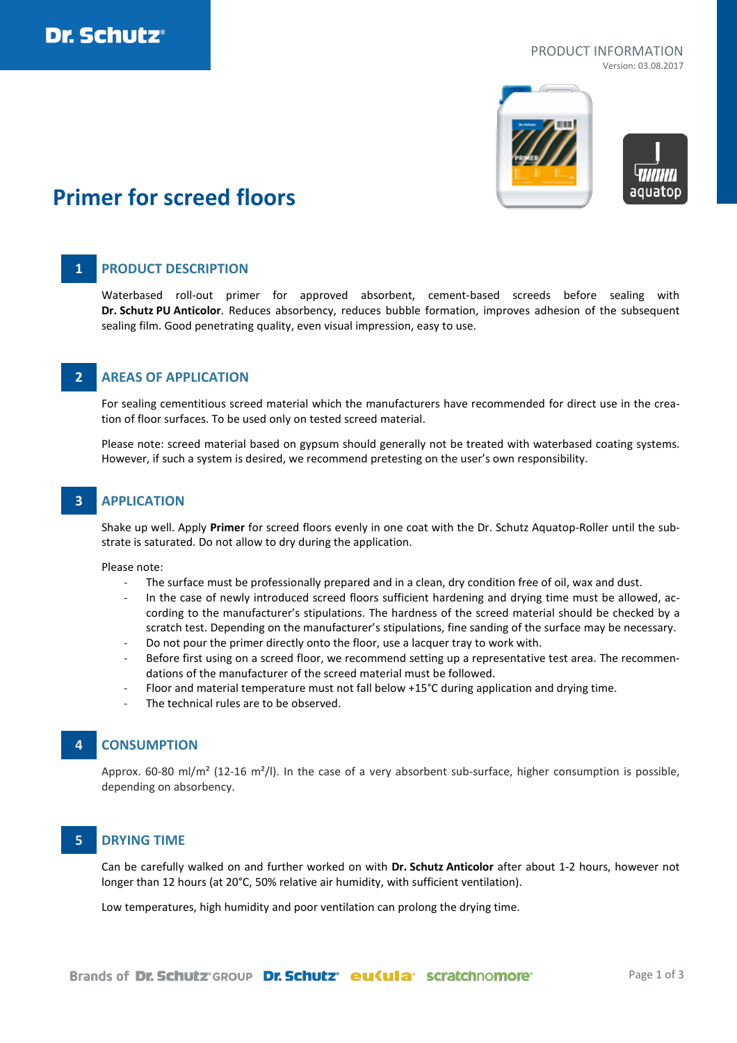

## PRODUCT INFORMATION

Version: 03.08.2017



# **Primer for screed floors**

### **1 PRODUCT DESCRIPTION**

Waterbased roll-out primer for approved absorbent, cement-based screeds before sealing with **Dr. Schutz PU Anticolor**. Reduces absorbency, reduces bubble formation, improves adhesion of the subsequent sealing film. Good penetrating quality, even visual impression, easy to use.

### **2 AREAS OF APPLICATION**

For sealing cementitious screed material which the manufacturers have recommended for direct use in the creation of floor surfaces. To be used only on tested screed material.

Please note: screed material based on gypsum should generally not be treated with waterbased coating systems. However, if such a system is desired, we recommend pretesting on the user's own responsibility.

### **3 APPLICATION**

Shake up well. Apply **Primer** for screed floors evenly in one coat with the Dr. Schutz Aquatop-Roller until the substrate is saturated. Do not allow to dry during the application.

Please note:

- The surface must be professionally prepared and in a clean, dry condition free of oil, wax and dust.
- In the case of newly introduced screed floors sufficient hardening and drying time must be allowed, according to the manufacturer's stipulations. The hardness of the screed material should be checked by a scratch test. Depending on the manufacturer's stipulations, fine sanding of the surface may be necessary.
- Do not pour the primer directly onto the floor, use a lacquer tray to work with.
- Before first using on a screed floor, we recommend setting up a representative test area. The recommendations of the manufacturer of the screed material must be followed.
- Floor and material temperature must not fall below +15°C during application and drying time.
- The technical rules are to be observed.

### **4 CONSUMPTION**

Approx. 60-80 ml/m<sup>2</sup> (12-16 m<sup>2</sup>/l). In the case of a very absorbent sub-surface, higher consumption is possible, depending on absorbency.

### **5 DRYING TIME**

Can be carefully walked on and further worked on with **Dr. Schutz Anticolor** after about 1-2 hours, however not longer than 12 hours (at 20°C, 50% relative air humidity, with sufficient ventilation).

Low temperatures, high humidity and poor ventilation can prolong the drying time.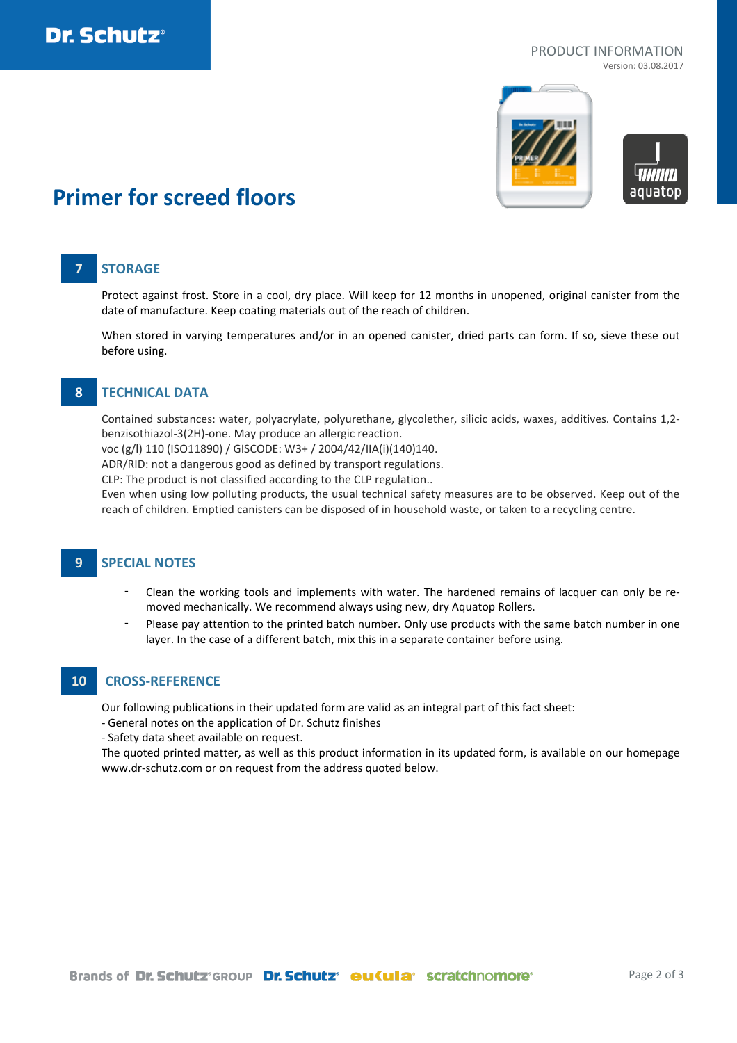

## PRODUCT INFORMATION

Version: 03.08.2017



# **Primer for screed floors**

### **7 STORAGE**

Protect against frost. Store in a cool, dry place. Will keep for 12 months in unopened, original canister from the date of manufacture. Keep coating materials out of the reach of children.

When stored in varying temperatures and/or in an opened canister, dried parts can form. If so, sieve these out before using.

### **8 TECHNICAL DATA**

Contained substances: water, polyacrylate, polyurethane, glycolether, silicic acids, waxes, additives. Contains 1,2 benzisothiazol-3(2H)-one. May produce an allergic reaction.

voc (g/l) 110 (ISO11890) / GISCODE: W3+ / 2004/42/IIA(i)(140)140.

ADR/RID: not a dangerous good as defined by transport regulations.

CLP: The product is not classified according to the CLP regulation..

Even when using low polluting products, the usual technical safety measures are to be observed. Keep out of the reach of children. Emptied canisters can be disposed of in household waste, or taken to a recycling centre.

### **9 SPECIAL NOTES**

- Clean the working tools and implements with water. The hardened remains of lacquer can only be removed mechanically. We recommend always using new, dry Aquatop Rollers.
- Please pay attention to the printed batch number. Only use products with the same batch number in one layer. In the case of a different batch, mix this in a separate container before using.

### **10 CROSS-REFERENCE**

Our following publications in their updated form are valid as an integral part of this fact sheet:

- General notes on the application of Dr. Schutz finishes
- Safety data sheet available on request.

The quoted printed matter, as well as this product information in its updated form, is available on our homepage www.dr-schutz.com or on request from the address quoted below.